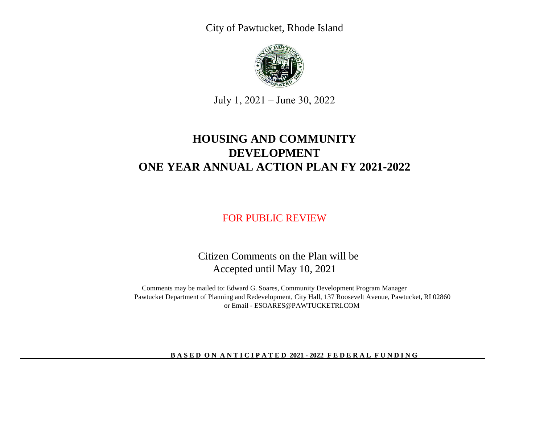City of Pawtucket, Rhode Island



July 1, 2021 – June 30, 2022

# **ONE YEAR ANNUAL ACTION PLAN FY 2021-2022 HOUSING AND COMMUNITY DEVELOPMENT**

# FOR PUBLIC REVIEW

 Citizen Comments on the Plan will be Accepted until May 10, 2021

Comments may be mailed to: Edward G. Soares, Community Development Program Manager Pawtucket Department of Planning and Redevelopment, City Hall, 137 Roosevelt Avenue, Pawtucket, RI 02860 or Email - ESOARES@PAWTUCKETRI.COM

#### **BASED ON ANTICIPATED 2021 - 2022 FEDERAL FUNDING**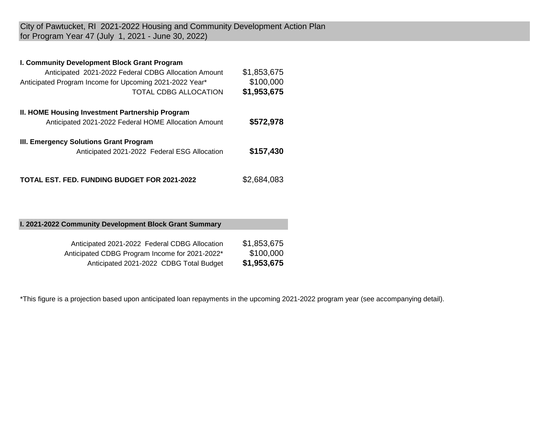City of Pawtucket, RI 2021-2022 Housing and Community Development Action Plan for Program Year 47 (July 1, 2021 - June 30, 2022)

#### **I. Community Development Block Grant Program**

| Anticipated 2021-2022 Federal CDBG Allocation Amount<br>Anticipated Program Income for Upcoming 2021-2022 Year*<br>TOTAL CDBG ALLOCATION | \$1,853,675<br>\$100,000<br>\$1,953,675 |
|------------------------------------------------------------------------------------------------------------------------------------------|-----------------------------------------|
| <b>II. HOME Housing Investment Partnership Program</b><br>Anticipated 2021-2022 Federal HOME Allocation Amount                           | \$572,978                               |
| III. Emergency Solutions Grant Program<br>Anticipated 2021-2022 Federal ESG Allocation                                                   | \$157,430                               |
| <b>TOTAL EST. FED. FUNDING BUDGET FOR 2021-2022</b>                                                                                      | \$2,684,083                             |

#### **I. 2021-2022 Community Development Block Grant Summary**

| Anticipated 2021-2022 Federal CDBG Allocation  | \$1,853,675 |
|------------------------------------------------|-------------|
| Anticipated CDBG Program Income for 2021-2022* | \$100,000   |
| Anticipated 2021-2022 CDBG Total Budget        | \$1,953,675 |

\*This figure is a projection based upon anticipated loan repayments in the upcoming 2021-2022 program year (see accompanying detail).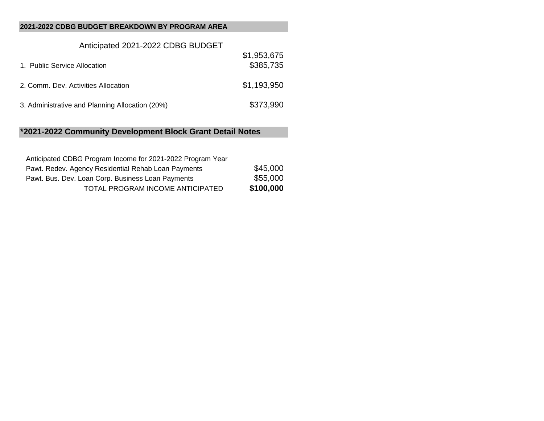#### **2021-2022 CDBG BUDGET BREAKDOWN BY PROGRAM AREA**

| Anticipated 2021-2022 CDBG BUDGET               |                          |
|-------------------------------------------------|--------------------------|
| 1. Public Service Allocation                    | \$1,953,675<br>\$385,735 |
| 2. Comm. Dev. Activities Allocation             | \$1,193,950              |
| 3. Administrative and Planning Allocation (20%) | \$373,990                |

## **\*2021-2022 Community Development Block Grant Detail Notes**

| Anticipated CDBG Program Income for 2021-2022 Program Year |           |
|------------------------------------------------------------|-----------|
| Pawt. Redev. Agency Residential Rehab Loan Payments        | \$45,000  |
| Pawt. Bus. Dev. Loan Corp. Business Loan Payments          | \$55,000  |
| TOTAL PROGRAM INCOME ANTICIPATED                           | \$100,000 |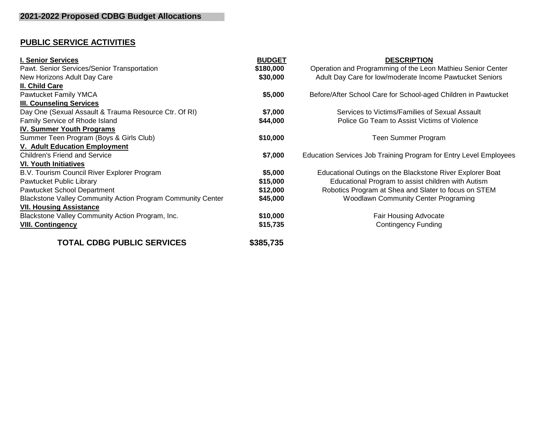# **PUBLIC SERVICE ACTIVITIES**

| I. Senior Services                                                 | <b>BUDGET</b> | <b>DESCRIPTION</b>                                                |
|--------------------------------------------------------------------|---------------|-------------------------------------------------------------------|
| Pawt. Senior Services/Senior Transportation                        | \$180,000     | Operation and Programming of the Leon Mathieu Senior Center       |
| New Horizons Adult Day Care                                        | \$30,000      | Adult Day Care for low/moderate Income Pawtucket Seniors          |
| II. Child Care                                                     |               |                                                                   |
| Pawtucket Family YMCA                                              | \$5,000       | Before/After School Care for School-aged Children in Pawtucket    |
| <b>III. Counseling Services</b>                                    |               |                                                                   |
| Day One (Sexual Assault & Trauma Resource Ctr. Of RI)              | \$7,000       | Services to Victims/Families of Sexual Assault                    |
| Family Service of Rhode Island                                     | \$44,000      | Police Go Team to Assist Victims of Violence                      |
| <b>IV. Summer Youth Programs</b>                                   |               |                                                                   |
| Summer Teen Program (Boys & Girls Club)                            | \$10,000      | Teen Summer Program                                               |
| <b>V. Adult Education Employment</b>                               |               |                                                                   |
| <b>Children's Friend and Service</b>                               | \$7,000       | Education Services Job Training Program for Entry Level Employees |
| <b>VI. Youth Initiatives</b>                                       |               |                                                                   |
| B.V. Tourism Council River Explorer Program                        | \$5,000       | Educational Outings on the Blackstone River Explorer Boat         |
| Pawtucket Public Library                                           | \$15,000      | Educational Program to assist children with Autism                |
| Pawtucket School Department                                        | \$12,000      | Robotics Program at Shea and Slater to focus on STEM              |
| <b>Blackstone Valley Community Action Program Community Center</b> | \$45,000      | <b>Woodlawn Community Center Programing</b>                       |
| <b>VII. Housing Assistance</b>                                     |               |                                                                   |
| Blackstone Valley Community Action Program, Inc.                   | \$10,000      | <b>Fair Housing Advocate</b>                                      |
| <b>VIII. Contingency</b>                                           | \$15,735      | <b>Contingency Funding</b>                                        |
| <b>TOTAL CDBG PUBLIC SERVICES</b>                                  | \$385,735     |                                                                   |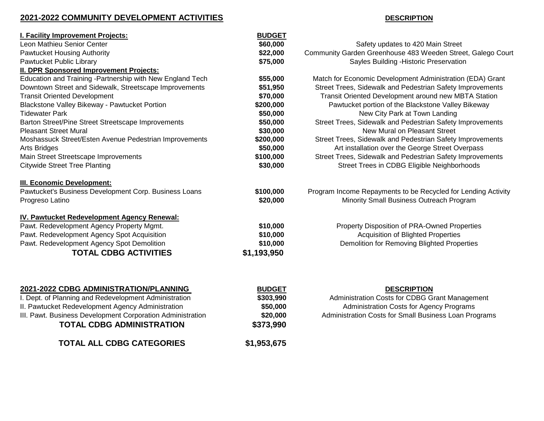### **2021-2022 COMMUNITY DEVELOPMENT ACTIVITIES DESCRIPTION**

| I. Facility Improvement Projects:                                                                             | <b>BUDGET</b>         |                                                                                                           |
|---------------------------------------------------------------------------------------------------------------|-----------------------|-----------------------------------------------------------------------------------------------------------|
| Leon Mathieu Senior Center                                                                                    | \$60,000              | Safety updates to 420 Main Street                                                                         |
| <b>Pawtucket Housing Authority</b>                                                                            | \$22,000              | Community Garden Greenhouse 483 Weeden Street, Galego Court                                               |
| Pawtucket Public Library                                                                                      | \$75,000              | Sayles Building - Historic Preservation                                                                   |
| <b>II. DPR Sponsored Improvement Projects:</b>                                                                |                       |                                                                                                           |
| Education and Training -Partnership with New England Tech                                                     | \$55,000              | Match for Economic Development Administration (EDA) Grant                                                 |
| Downtown Street and Sidewalk, Streetscape Improvements                                                        | \$51,950              | Street Trees, Sidewalk and Pedestrian Safety Improvements                                                 |
| <b>Transit Oriented Development</b>                                                                           | \$70,000              | Transit Oriented Development around new MBTA Station                                                      |
| Blackstone Valley Bikeway - Pawtucket Portion                                                                 | \$200,000             | Pawtucket portion of the Blackstone Valley Bikeway                                                        |
| <b>Tidewater Park</b>                                                                                         | \$50,000              | New City Park at Town Landing                                                                             |
| Barton Street/Pine Street Streetscape Improvements                                                            | \$50,000              | Street Trees, Sidewalk and Pedestrian Safety Improvements                                                 |
| <b>Pleasant Street Mural</b>                                                                                  | \$30,000              | New Mural on Pleasant Street                                                                              |
| Moshassuck Street/Esten Avenue Pedestrian Improvements                                                        | \$200,000             | Street Trees, Sidewalk and Pedestrian Safety Improvements                                                 |
| <b>Arts Bridges</b>                                                                                           | \$50,000              | Art installation over the George Street Overpass                                                          |
| Main Street Streetscape Improvements                                                                          | \$100,000             | Street Trees, Sidewalk and Pedestrian Safety Improvements                                                 |
| <b>Citywide Street Tree Planting</b>                                                                          | \$30,000              | Street Trees in CDBG Eligible Neighborhoods                                                               |
| <b>III. Economic Development:</b><br>Pawtucket's Business Development Corp. Business Loans<br>Progreso Latino | \$100,000<br>\$20,000 | Program Income Repayments to be Recycled for Lending Activity<br>Minority Small Business Outreach Program |
| IV. Pawtucket Redevelopment Agency Renewal:                                                                   |                       |                                                                                                           |
| Pawt. Redevelopment Agency Property Mgmt.                                                                     | \$10,000              | Property Disposition of PRA-Owned Properties                                                              |
| Pawt. Redevelopment Agency Spot Acquisition                                                                   | \$10,000              | Acquisition of Blighted Properties                                                                        |
| Pawt. Redevelopment Agency Spot Demolition                                                                    | \$10,000              | Demolition for Removing Blighted Properties                                                               |
| <b>TOTAL CDBG ACTIVITIES</b>                                                                                  | \$1,193,950           |                                                                                                           |
|                                                                                                               |                       |                                                                                                           |
| 2021-2022 CDBG ADMINISTRATION/PLANNING                                                                        | <b>BUDGET</b>         | <b>DESCRIPTION</b>                                                                                        |
| I. Dept. of Planning and Redevelopment Administration                                                         | \$303,990             | Administration Costs for CDBG Grant Management                                                            |
| II. Pawtucket Redevelopment Agency Administration                                                             | \$50,000              | Administration Costs for Agency Programs                                                                  |
| III. Pawt. Business Development Corporation Administration                                                    | \$20,000              | Administration Costs for Small Business Loan Programs                                                     |

**TOTAL CDBG ADMINISTRATION \$373,990**

**TOTAL ALL CDBG CATEGORIES \$1,953,675**